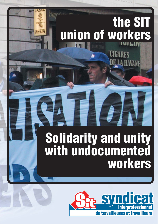# **the SIT union of workers**

IGARES

AVANE

**couverture** 

**Solidarity and unity with undocumented workers**

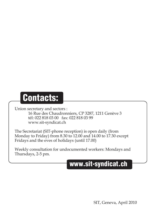# **Contacts:**

Union secretary and sectors :

 16 Rue des Chaudronniers, CP 3287, 1211 Genève 3 tél: 022 818 03 00 fax: 022 818 03 99 www.sit-syndicat.ch

The Secretariat (SIT-phone reception) is open daily (from Monday to Friday) from 8.30 to 12.00 and 14.00 to 17.30 except Fridays and the eves of holidays (until 17.00)

Weekly consultation for undocumented workers: Mondays and Thursdays, 2-5 pm.

### **www.sit-syndicat.ch**

SIT, Geneva, April 2010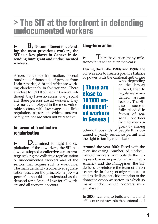# **> The SIT at the forefront in defending undocumented workers**

**B**y its commitment to defend**ing the most precarious workers, the SIT is a key player in Geneva in defending immigrant and undocumented workers.** 

According to our information, several hundreds of thousands of persons from Latin America, Asia and Africa are working clandestinely in Switzerland. There are close to 10'000 of them in Geneva. Although they have no access to any social aid, these persons are all workers. They are mostly employed in the most vulnerable sectors, with low wages and little regulation, sectors in which, unfortunately, unions are often not very active.

#### **In favour of a collective regularisation**

**D**etermined to fight the exploitation of these workers, the SIT has always adopted a **collective action strategy** seeking the collective regularisation of undocumented workers and of the sectors that require such a workforce. The main demand – a collective regularisation based on the principle **"a job = a permit"** – should be understood as the demand for a State of Law for all workers and all economic sectors.

#### **Long-term action**

There have been many milestones in its action over the years:

**During the 1970s, 1980s and 1990s:** the SIT was able to create a positive balance of power with the cantonal authorities

#### **[ There are close to 10'000 undocumented workers in Geneva ]**

who, depending on the leeway at hand, tried to regularise many denied asylum seekers. The SIT also successfully pleaded in favour of **seasonal workers** from former Yugoslavia among

others: thousands of people thus obtained a yearly residence permit and the right to family reunification.

**Around the year 2000:** Faced with the ever increasing number of undocumented workers from outside the European Union, in particular from Latin America and the Philippines, the SIT decided to reinforce the team of union secretaries in charge of migration issues and to dedicate specific attention to the domestic economy sector, in which so many undocumented workers were employed.

**In 2000**, wanting to build a united and efficient front towards the cantonal and

**1**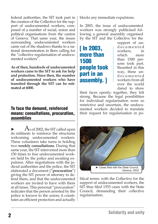federal authorities, the SIT took part in the creation of the Collective for the support of undocumented workers, composed of a number of social, union and political organisations from the canton of Geneva. That same year, the issues surrounding undocumented workers came out of the shadows thanks to a national demonstration in Bern calling for the "collective regularisation of undocumented workers".

**As of then, hundreds of undocumented workers came to the SIT to ask for help and protection. Since then, the number of undocumented workers who have transited through the SIT can be estimated at 6000.** 

#### **To face the demand, reinforced means: consultations, procuration, assemblies**

 $\overline{A}$ s of 2002, the SIT called upon its militants to reinforce the structures welcoming undocumented workers. These volunteers take turns in holding two **weekly consultations**. During that same year, the SIT intervened more than 150 times to free undocumented workers held by the police and awaiting expulsion. After negotiations with the judicial authorities and the police, the SIT elaborated a document ("**procuration**") giving the SIT power of attorney to defend them, and that the undocumented workers are invited to have with them at all times. This personal "procuration" indicates that the person arrested by the police is known to the union; it constitutes an efficient protection and actually blocks any immediate expulsions.

In 2003, the issue of undocumented workers was strongly publicised following a general assembly organised by the SIT and the Collective for the

**[ In 2003, more than 1500 people took part in an assembly. ]**

support of und o c u m e n t e d workers, in which more than 1500 persons took part. Reunited in this way, these und o c u m e n t e d workers from all over the world dared to show

their faces openly; together, they felt strong. Because the legal possibilities for individual regularisation were so restrictive and uncertain, the undocumented workers decided to translate their request for regularisation in po-



litical terms: with the Collective for the support of undocumented workers, the SIT thus filed 1353 cases with the State Council, demanding their collective regularisation.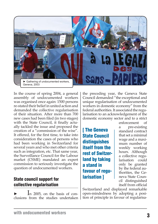

In the course of spring 2004, a general assembly of undocumented workers was organised once again: 1500 persons re-stated their belief in united action and demanded the collective regularisation of their situation. After more than 700 new cases had been filed (in two stages) with the State Council, it finally actually tackled the issue and proposed the creation of a "commission of the wise". It offered, for the first time, to take into consideration the cases of persons who had been working in Switzerland for several years and who met other criteria such as integration, etc. That same year, the Surveillance Council for the Labour market (CSME) mandated an expert commission to seriously investigate the question of undocumented workers.

#### **State council support for collective regularisation**

In 2005, on the basis of conclusions from the studies undertaken the preceding year, the Geneva State Council demanded "the exceptional and unique regularisation of undocumented workers in domestic economy" from the federal authorities. It associated the regularisation to an acknowledgement of the domestic economy sector and to a strict

**[ The Geneva State Council distinguishes itself from the rest of Switzerland by taking a stand in favour of regularisation ]**

enforcement of a pre-existing standard contract that set a minimal wage and a maximum number of weekly working hours. Although a collective regularisation could only be granted by the federal authorities, the Geneva State Council distinguished itself from official

Switzerland and displayed remarkable open-mindedness by adopting a position of principle in favour of regularisa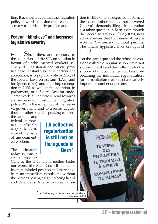tion. It acknowledged that the migration policy towards the domestic economic sector was particularly problematic.

#### **Federal "blind-eye" and increased legislative severity**

Since then, and contrary to the aspirations of the SIT, no solution in favour of undocumented workers has emerged. Legislation and official practice have constantly become harsher: the acceptance, in a popular vote in 2006, of the federal laws on asylum (LAsi) and foreigners (LEtr), and their implementation in 2008, as well as the adoption, in parliament, of a federal law on undeclared work, all indicate a trend towards an increasingly restrictive migration policy. With the exception of the Geneva government, and to a lesser degree, those of other French-speaking cantons, the cantonal and

federal authorities officially negate the existence of the issue of undocumented workers.

The situation today is thus a status quo: in

Geneva, the situation is neither better nor worse (the State Council maintains its open-minded position and there have been no immediate expulsions without the persons having a right to being heard and defended). A collective regularisa-

**regularisation is still not on the agenda in Bern ]**

**[ A collective** 

tion is still not to be expected in Bern, as the federal authorities have not answered Geneva's demands. Illegal immigration is a taboo question in Bern, even though the Federal Migration Office (ODM) now acknowledges that thousands of people work in Switzerland without permits. The official hypocrisy lives on, against all odds.

Yet the status quo and the refusal to consider collective regularisation have not stopped the SIT and the Collective for the support of undocumented workers from obtaining the individual regularisation, for humanitarian reasons, of a relatively important number of persons.

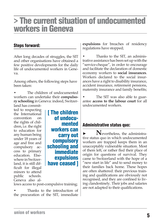# **> The current situation of undocumented workers in Geneva**

#### **Steps forward:**

After long decades of struggles, the SIT and other organisations have obtained a few positive developments for the daily life of undocumented workers in Geneva.

Among others, the following steps have been taken:

The children of undocumented workers can undertake their **compulsory schooling** in Geneva: indeed, Switzer-

land has committed to respecting the International convention on the rights of children, i.e. the right to education for any human being under 18 years of age and free and compulsory access to primary education. Elsewhere in Switzerland, it is still difficult for illegal minors to attend public schools. Geneva also al-

**[ The children of undocumented workers can carry out compulsory schooling and immediate expulsions have ceased ]**

lows access to post-compulsive training;

Thanks to the introduction of the procuration of the SIT, immediate **expulsions** for breaches of residency regulations have stopped;

• Thanks to the SIT, an administrative assistance has been set up with the "service-cheque", in order to encourage and facilitate the declaration of domestic economy workers to **social insurances**. Workers declared to the social insurances have a right to disability insurance, accident insurance, retirement pensions, maternity insurance and family benefits;

The SIT was also able to guarantee **access to the labour court** for all undocumented workers.

#### **Administrative status quo:**

► **N**evertheless, the administrative status quo in which undocumented workers are trapped keeps them in an unacceptably vulnerable situation. Most of them left, or rather fled their place of origin for questions of survival. They came to Switzerland with the hope of a "new start in life" and to send money to their families back home. These hopes are often shattered: their previous training and qualifications are obviously not recognised, and they are confined to living clandestinely. Their jobs and salaries are not adapted to their qualifications.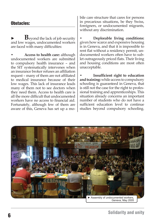#### **Obstacles:**

**B**eyond the lack of job security and low wages, undocumented workers are faced with many difficulties:

• **Access to health care:** although undocumented workers are submitted to compulsory health insurance – and the SIT systematically intervenes when an insurance broker refuses an affiliation request – many of them are not affiliated to medical insurance because of their low wages. This lack of insurance leads many of them not to see doctors when they need them. Access to health care is all the more difficult that undocumented workers have no access to financial aid. Fortunately, although few of them are aware of this, Geneva has set up a mo-

bile care structure that cares for persons in precarious situations, be they Swiss, foreigners, or undocumented migrants, without any discrimination.

**• Deplorable living conditions:**  given how scarce and expensive housing is in Geneva, and that it is impossible to rent flat without a residency permit, undocumented workers often have to sublet outrageously priced flats. Their living and housing conditions are most often unacceptable.

**Insufficient right to education and training:** while access to compulsory schooling is guaranteed in Geneva, that is still not the case for the right to professional training and apprenticeships. This situation already concerns an important number of students who do not have a sufficient education level to continue studies beyond compulsory schooling.

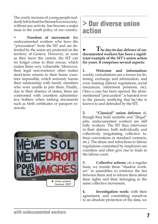The yearly increase of young people suddenly left to fend for themselves in society, without any activity, has become a major issue in the youth policy of our country.

**• Freedom of movement:** the undocumented workers who have the "procuration" from the SIT and are defended by the union are protected on the territory of Geneva. However, as soon as they leave the canton, the SIT can no longer come to their rescue, which makes them very vulnerable. Moreover, their legal non-existence often makes short-term returns to their home countries impossible, which seriously harms their relationship with family members who were unable to join them. Finally, due to their absence of status, there are confronted with countless administrative bothers when seeking documents such as birth certificates or passport renewals.



## **> Our diverse union action**

**► The day-to-day defence of undocumented workers has been a significant example of the SIT's union action for years. It comprises several aspects:**

**1. Welcome and information:**  weekly consultations are a forum for listening, exchange and information, and even training (labour regulations, social insurances, retirement pensions, etc). Once a case has been opened, the aforementioned "procuration" is handed over to the person, testifying that he/she is known to and defended by the SIT.

**2. "Classical" union defence:** although they hold unstable and "illegal" jobs, undocumented workers are still fully workers. The SIT thus intervenes in their defence, both individually and collectively (negotiating collective labour conventions or standard contracts, etc.). The abuse and infractions to labour regulations committed by employers are countless and often give rise to trials in the labour court.

**3. Collective actions:** on a regular basis, we reunite these "shadow workers" in assemblies to reinforce the ties between them and to inform them about their rights and their belonging to the same collective movement.

**4. Investigation work:** with their agreement, and committing ourselves to an absolute protection of the data, we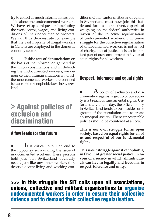try to collect as much information as possible about the undocumented workers. We have set up a unique database listing the work sector, wages, and living conditions of the undocumented workers. We can thus demonstrate for example that the vast majority of illegal workers in Geneva are employed in the domestic economy sector.

**5. Public acts of denunciation:** on the basis of the information gathered in the union consultations and in defending the undocumented workers, we denounce the inhuman situations in which the undocumented workers are confined because of the xenophobic laws in Switzerland.

### **> Against policies of exclusion and discrimination**

#### **A few leads for the future**

**It** is critical to put an end to the hypocrisy surrounding the issue of undocumented workers. These persons hold jobs that Switzerland obviously needs. Just like any other worker, they deserve decent living and working con-

ditions. Other cantons, cities and regions in Switzerland must now join this battle and form a united front, capable of weighing on the federal authorities in favour of the collective regularisation of undocumented workers. Our union struggle for the collective regularisation of undocumented workers is not an act of charity, but of justice. It is an important part of our commitment in favour of equal rights for all workers.

#### **Respect, tolerance and equal rights**

A policy of exclusion and discrimination against a group of our society is a breach of fundamental rights. Unfortunately to this day, the official policy in Switzerland tends to push aside some groups of the population and to create an unequal society. These unacceptable policies should be countered at all cost.

**This is our own struggle for an open society, based on equal rights for all of us and respectful of our fundamental rights.** 

**This is our struggle against xenophobia, in favour of greater social justice, in favour of a society in which all individuals can live in legality and freedom, in respect, tolerance and unity.** 

#### **>>> In this struggle the SIT calls upon all associations, unions, collective and militant organisations to organise undocumented workers in order to ensure their collective defence and to demand their collective regularisation.**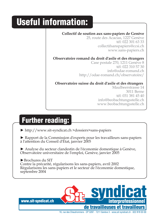# **Useful information:**

#### **Collectif de soutien aux sans-papiers de Genève**

25, route des Acacias, 1227 Genève tél: 022 301 63 33 collectifsanspapiers@ccsi.ch www.sans-papiers.ch

**Observatoire romand du droit d'asile et des étrangers**

Case postale 270, 1211 Genève 8 tél: 022 310 57 30 info@odae-romand.ch http://odae-romand.ch/observatoire/

#### **Observatoire suisse du droit d'asile et des étrangers**

Maulbeerstrasse 14 3011 Berne tél: 031 381 45 40 info@beobachtungsstelle.ch www.beobachtungsstelle.ch

# **Further reading:**

► http://www.sit-syndicat.ch >dossiers>sans-papiers

► Rapport de la Commission d'experts pour les travailleurs sans-papiers à l'attention du Conseil d'État, janvier 2005

► Analyse du secteur clandestin de l'économie domestique à Genève, Observatoire universitaire de l'emploi, Genève, janvier 2005

►Brochures du SIT Contre la précarité, régularisons les sans-papiers, avril 2002 Régularisons les sans-papiers et le secteur de l'économie domestique, septembre 2004